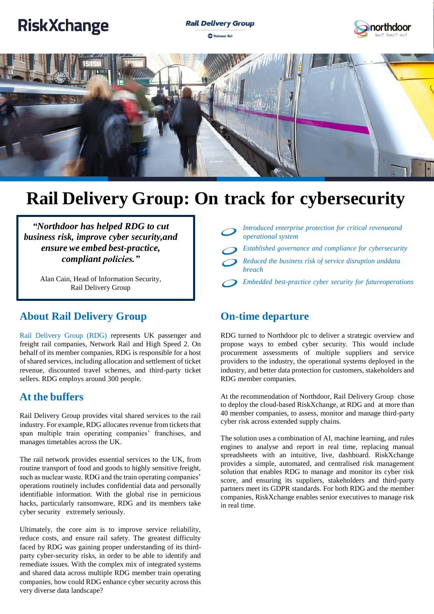# **RiskXchange**







# **Rail Delivery Group: On track for cybersecurity**

*"Northdoor has helped RDG to cut business risk, improve cyber security,and ensure we embed best-practice, compliant policies."*

> Alan Cain, Head of Information Security, Rail Delivery Group

### **About Rail Delivery Group**

Rail Delivery Group (RDG) represents UK passenger and freight rail companies, Network Rail and High Speed 2. On behalf of its member companies, RDG is responsible for a host of shared services, including allocation and settlement of ticket revenue, discounted travel schemes, and third-party ticket sellers. RDG employs around 300 people.

#### **At the buffers**

Rail Delivery Group provides vital shared services to the rail industry. For example, RDG allocates revenue from tickets that span multiple train operating companies' franchises, and manages timetables across the UK.

The rail network provides essential services to the UK, from routine transport of food and goods to highly sensitive freight, such as nuclear waste. RDG and the train operating companies' operations routinely includes confidential data and personally identifiable information. With the global rise in pernicious hacks, particularly ransomware, RDG and its members take cyber security extremely seriously.

Ultimately, the core aim is to improve service reliability, reduce costs, and ensure rail safety. The greatest difficulty faced by RDG was gaining proper understanding of its thirdparty cyber-security risks, in order to be able to identify and remediate issues. With the complex mix of integrated systems and shared data across multiple RDG member train operating companies, how could RDG enhance cyber security across this very diverse data landscape?

| Introduced enterprise protection for critical revenueand<br>operational system |
|--------------------------------------------------------------------------------|
| Established governance and compliance for cybersecurity                        |
| Reduced the business risk of service disruption anddata<br><i>breach</i>       |
| Embedded best-practice cyber security for futureoperations                     |

#### **On-time departure**

RDG turned to Northdoor plc to deliver a strategic overview and propose ways to embed cyber security. This would include procurement assessments of multiple suppliers and service providers to the industry, the operational systems deployed in the industry, and better data protection for customers, stakeholders and RDG member companies.

At the recommendation of Northdoor, Rail Delivery Group chose to deploy the cloud-based RiskXchange, at RDG and at more than 40 member companies, to assess, monitor and manage third-party cyber risk across extended supply chains.

The solution uses a combination of AI, machine learning, and rules engines to analyse and report in real time, replacing manual spreadsheets with an intuitive, live, dashboard. RiskXchange provides a simple, automated, and centralised risk management solution that enables RDG to manage and monitor its cyber risk score, and ensuring its suppliers, stakeholders and third-party partners meet its GDPR standards. For both RDG and the member companies, RiskXchange enables senior executives to manage risk in real time.